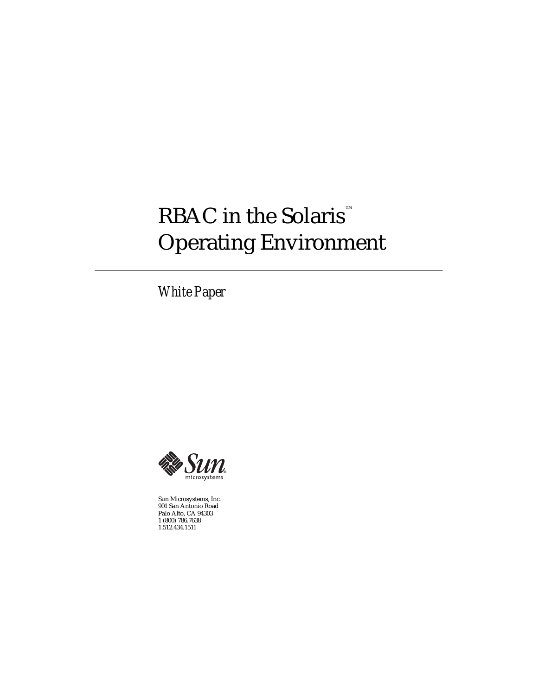# RBAC in the Solaris<sup>™</sup> Operating Environment

*White Paper*



901 San Antonio Road Palo Alto, CA 94303 1 (800) 786.7638 Sun Microsystems, Inc. 1.512.434.1511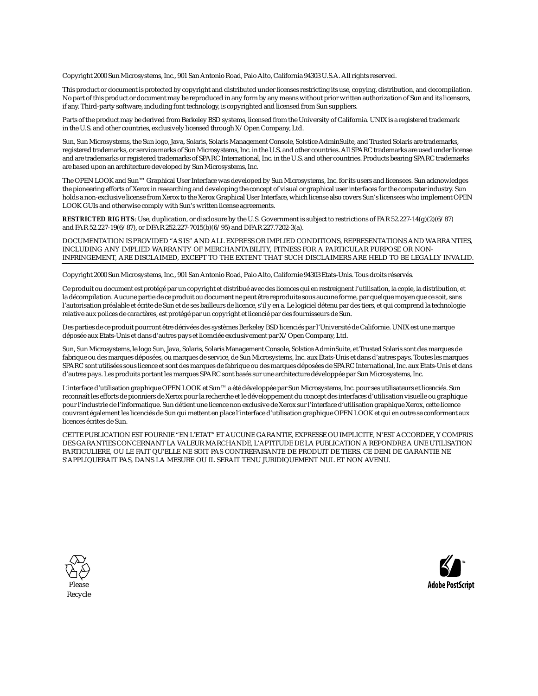Copyright 2000 Sun Microsystems, Inc., 901 San Antonio Road, Palo Alto, California 94303 U.S.A. All rights reserved.

This product or document is protected by copyright and distributed under licenses restricting its use, copying, distribution, and decompilation. No part of this product or document may be reproduced in any form by any means without prior written authorization of Sun and its licensors, if any. Third-party software, including font technology, is copyrighted and licensed from Sun suppliers.

Parts of the product may be derived from Berkeley BSD systems, licensed from the University of California. UNIX is a registered trademark in the U.S. and other countries, exclusively licensed through X/Open Company, Ltd.

Sun, Sun Microsystems, the Sun logo, Java, Solaris, Solaris Management Console, Solstice AdminSuite, and Trusted Solaris are trademarks, registered trademarks, or service marks of Sun Microsystems, Inc. in the U.S. and other countries. All SPARC trademarks are used under license and are trademarks or registered trademarks of SPARC International, Inc. in the U.S. and other countries. Products bearing SPARC trademarks are based upon an architecture developed by Sun Microsystems, Inc.

The OPEN LOOK and Sun™ Graphical User Interface was developed by Sun Microsystems, Inc. for its users and licensees. Sun acknowledges the pioneering efforts of Xerox in researching and developing the concept of visual or graphical user interfaces for the computer industry. Sun holds a non-exclusive license from Xerox to the Xerox Graphical User Interface, which license also covers Sun's licensees who implement OPEN LOOK GUIs and otherwise comply with Sun's written license agreements.

**RESTRICTED RIGHTS**: Use, duplication, or disclosure by the U.S. Government is subject to restrictions of FAR 52.227-14(g)(2)(6/87) and FAR 52.227-19(6/87), or DFAR 252.227-7015(b)(6/95) and DFAR 227.7202-3(a).

DOCUMENTATION IS PROVIDED "AS IS" AND ALL EXPRESS OR IMPLIED CONDITIONS, REPRESENTATIONS AND WARRANTIES, INCLUDING ANY IMPLIED WARRANTY OF MERCHANTABILITY, FITNESS FOR A PARTICULAR PURPOSE OR NON-INFRINGEMENT, ARE DISCLAIMED, EXCEPT TO THE EXTENT THAT SUCH DISCLAIMERS ARE HELD TO BE LEGALLY INVALID.

Copyright 2000 Sun Microsystems, Inc., 901 San Antonio Road, Palo Alto, Californie 94303 Etats-Unis. Tous droits réservés.

Ce produit ou document est protégé par un copyright et distribué avec des licences qui en restreignent l'utilisation, la copie, la distribution, et la décompilation. Aucune partie de ce produit ou document ne peut être reproduite sous aucune forme, par quelque moyen que ce soit, sans l'autorisation préalable et écrite de Sun et de ses bailleurs de licence, s'il y en a. Le logiciel détenu par des tiers, et qui comprend la technologie relative aux polices de caractères, est protégé par un copyright et licencié par des fournisseurs de Sun.

Des parties de ce produit pourront être dérivées des systèmes Berkeley BSD licenciés par l'Université de Californie. UNIX est une marque déposée aux Etats-Unis et dans d'autres pays et licenciée exclusivement par X/Open Company, Ltd.

Sun, Sun Microsystems, le logo Sun, Java, Solaris, Solaris Management Console, Solstice AdminSuite, et Trusted Solaris sont des marques de fabrique ou des marques déposées, ou marques de service, de Sun Microsystems, Inc. aux Etats-Unis et dans d'autres pays. Toutes les marques SPARC sont utilisées sous licence et sont des marques de fabrique ou des marques déposées de SPARC International, Inc. aux Etats-Unis et dans d'autres pays. Les produits portant les marques SPARC sont basés sur une architecture développée par Sun Microsystems, Inc.

L'interface d'utilisation graphique OPEN LOOK et Sun™ a été développée par Sun Microsystems, Inc. pour ses utilisateurs et licenciés. Sun reconnaît les efforts de pionniers de Xerox pour la recherche et le développement du concept des interfaces d'utilisation visuelle ou graphique pour l'industrie de l'informatique. Sun détient une licence non exclusive de Xerox sur l'interface d'utilisation graphique Xerox, cette licence couvrant également les licenciés de Sun qui mettent en place l'interface d'utilisation graphique OPEN LOOK et qui en outre se conforment aux licences écrites de Sun.

CETTE PUBLICATION EST FOURNIE "EN L'ETAT" ET AUCUNE GARANTIE, EXPRESSE OU IMPLICITE, N'EST ACCORDEE, Y COMPRIS DES GARANTIES CONCERNANT LA VALEUR MARCHANDE, L'APTITUDE DE LA PUBLICATION A REPONDRE A UNE UTILISATION PARTICULIERE, OU LE FAIT QU'ELLE NE SOIT PAS CONTREFAISANTE DE PRODUIT DE TIERS. CE DENI DE GARANTIE NE S'APPLIQUERAIT PAS, DANS LA MESURE OU IL SERAIT TENU JURIDIQUEMENT NUL ET NON AVENU.



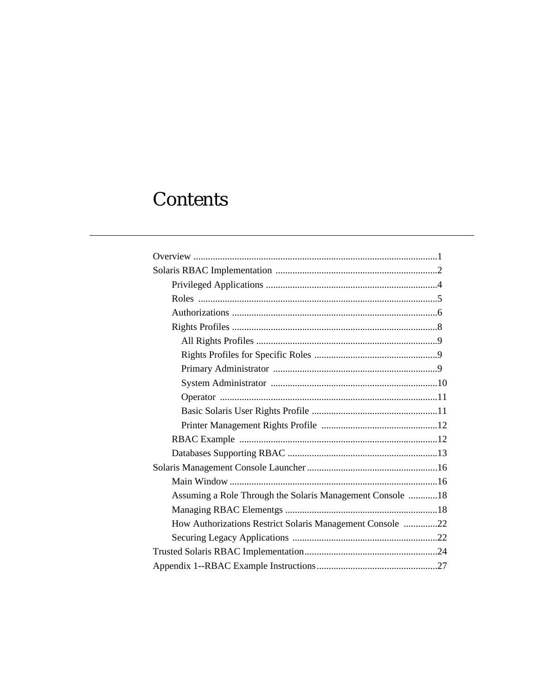# **Contents**

| Assuming a Role Through the Solaris Management Console 18 |  |
|-----------------------------------------------------------|--|
|                                                           |  |
| How Authorizations Restrict Solaris Management Console 22 |  |
|                                                           |  |
|                                                           |  |
|                                                           |  |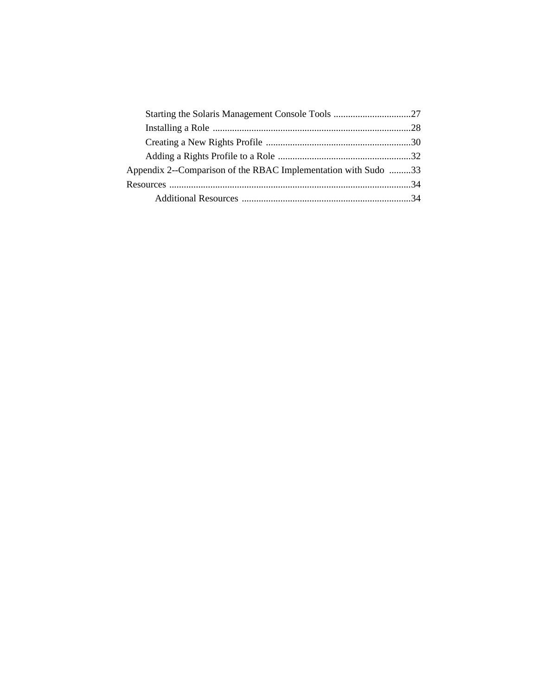| Appendix 2--Comparison of the RBAC Implementation with Sudo 33 |  |
|----------------------------------------------------------------|--|
|                                                                |  |
|                                                                |  |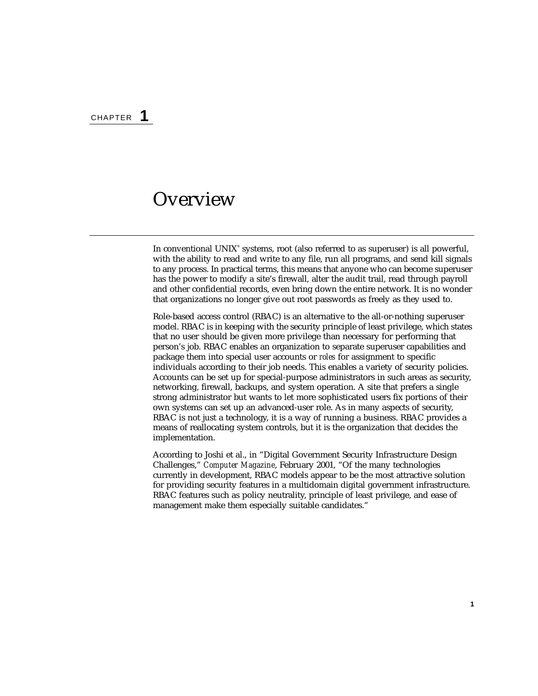CHAPTER **1**

## **Overview**

In conventional UNIX® systems, root (also referred to as superuser) is all powerful, with the ability to read and write to any file, run all programs, and send kill signals to any process. In practical terms, this means that anyone who can become superuser has the power to modify a site's firewall, alter the audit trail, read through payroll and other confidential records, even bring down the entire network. It is no wonder that organizations no longer give out root passwords as freely as they used to.

Role-based access control (RBAC) is an alternative to the all-or-nothing superuser model. RBAC is in keeping with the security principle of least privilege, which states that no user should be given more privilege than necessary for performing that person's job. RBAC enables an organization to separate superuser capabilities and package them into special user accounts or *roles* for assignment to specific individuals according to their job needs. This enables a variety of security policies. Accounts can be set up for special-purpose administrators in such areas as security, networking, firewall, backups, and system operation. A site that prefers a single strong administrator but wants to let more sophisticated users fix portions of their own systems can set up an advanced-user role. As in many aspects of security, RBAC is not just a technology, it is a way of running a business. RBAC provides a means of reallocating system controls, but it is the organization that decides the implementation.

According to Joshi et al., in "Digital Government Security Infrastructure Design Challenges," *Computer Magazine*, February 2001, "Of the many technologies currently in development, RBAC models appear to be the most attractive solution for providing security features in a multidomain digital government infrastructure. RBAC features such as policy neutrality, principle of least privilege, and ease of management make them especially suitable candidates."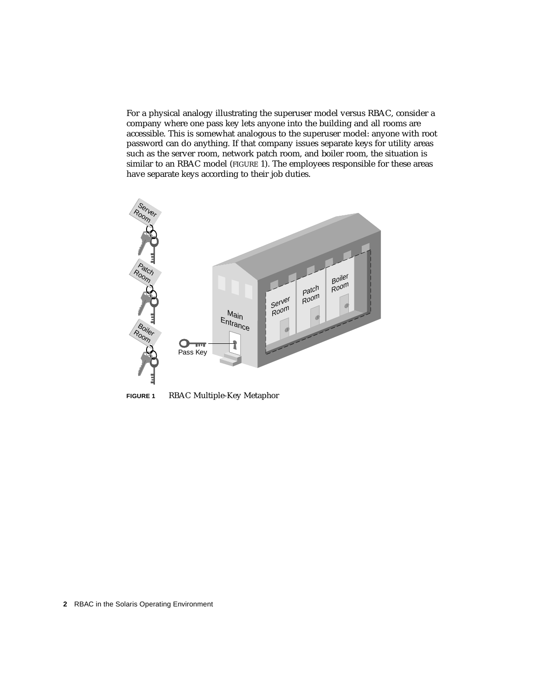For a physical analogy illustrating the superuser model versus RBAC, consider a company where one pass key lets anyone into the building and all rooms are accessible. This is somewhat analogous to the superuser model: anyone with root password can do anything. If that company issues separate keys for utility areas such as the server room, network patch room, and boiler room, the situation is similar to an RBAC model (FIGURE 1). The employees responsible for these areas have separate keys according to their job duties.



**FIGURE 1** RBAC Multiple-Key Metaphor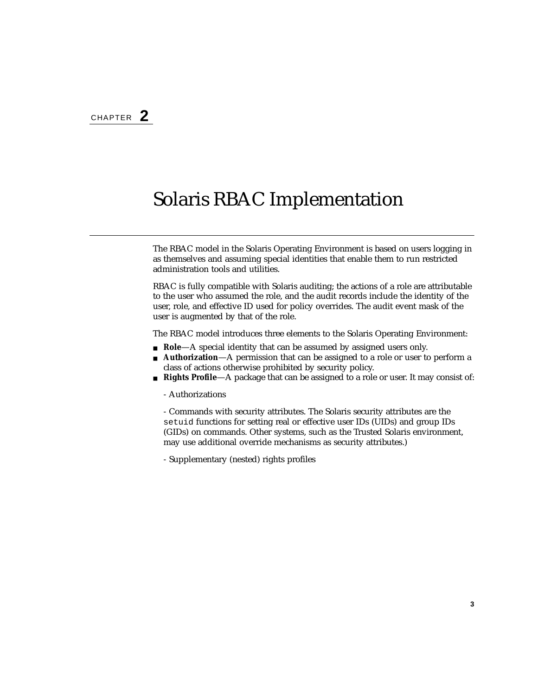# Solaris RBAC Implementation

The RBAC model in the Solaris Operating Environment is based on users logging in as themselves and assuming special identities that enable them to run restricted administration tools and utilities.

RBAC is fully compatible with Solaris auditing; the actions of a role are attributable to the user who assumed the role, and the audit records include the identity of the user, role, and effective ID used for policy overrides. The audit event mask of the user is augmented by that of the role.

The RBAC model introduces three elements to the Solaris Operating Environment:

- **Role**—A special identity that can be assumed by assigned users only.
- **Authorization**—A permission that can be assigned to a role or user to perform a class of actions otherwise prohibited by security policy.
- **Rights Profile**—A package that can be assigned to a role or user. It may consist of:

- Authorizations

- Commands with security attributes. The Solaris security attributes are the setuid functions for setting real or effective user IDs (UIDs) and group IDs (GIDs) on commands. Other systems, such as the Trusted Solaris environment, may use additional override mechanisms as security attributes.)

- Supplementary (nested) rights profiles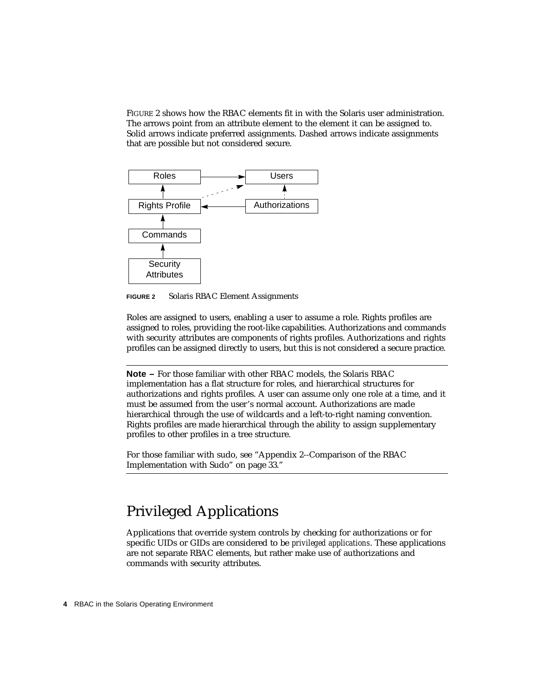FIGURE 2 shows how the RBAC elements fit in with the Solaris user administration. The arrows point from an attribute element to the element it can be assigned to. Solid arrows indicate preferred assignments. Dashed arrows indicate assignments that are possible but not considered secure.



**FIGURE 2** Solaris RBAC Element Assignments

Roles are assigned to users, enabling a user to assume a role. Rights profiles are assigned to roles, providing the root-like capabilities. Authorizations and commands with security attributes are components of rights profiles. Authorizations and rights profiles can be assigned directly to users, but this is not considered a secure practice.

**Note –** For those familiar with other RBAC models, the Solaris RBAC implementation has a flat structure for roles, and hierarchical structures for authorizations and rights profiles. A user can assume only one role at a time, and it must be assumed from the user's normal account. Authorizations are made hierarchical through the use of wildcards and a left-to-right naming convention. Rights profiles are made hierarchical through the ability to assign supplementary profiles to other profiles in a tree structure.

For those familiar with sudo, see ["Appendix 2--Comparison of the RBAC](#page-36-0) [Implementation with Sudo" on page 33.](#page-36-0)"

## Privileged Applications

Applications that override system controls by checking for authorizations or for specific UIDs or GIDs are considered to be *privileged applications*. These applications are not separate RBAC elements, but rather make use of authorizations and commands with security attributes.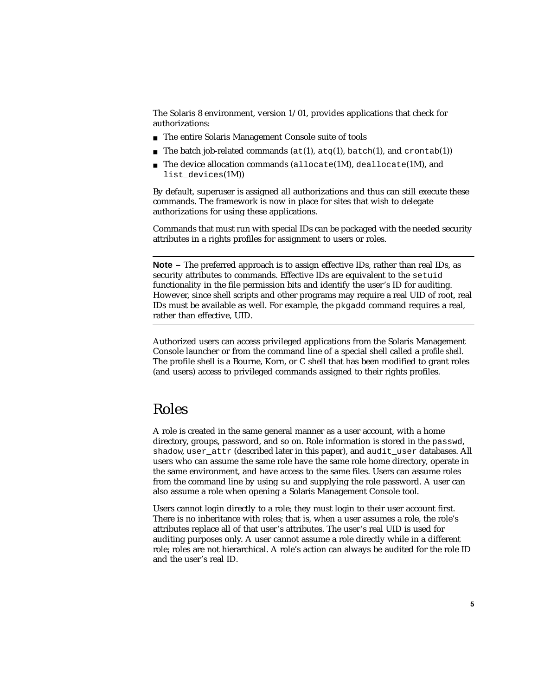The Solaris 8 environment, version 1/01, provides applications that check for authorizations:

- The entire Solaris Management Console suite of tools
- **The batch job-related commands (at(1), atq(1), batch(1), and crontab(1))**
- The device allocation commands (allocate(1M), deallocate(1M), and list\_devices(1M))

By default, superuser is assigned all authorizations and thus can still execute these commands. The framework is now in place for sites that wish to delegate authorizations for using these applications.

Commands that must run with special IDs can be packaged with the needed security attributes in a rights profiles for assignment to users or roles.

**Note –** The preferred approach is to assign effective IDs, rather than real IDs, as security attributes to commands. Effective IDs are equivalent to the setuid functionality in the file permission bits and identify the user's ID for auditing. However, since shell scripts and other programs may require a real UID of root, real IDs must be available as well. For example, the pkgadd command requires a real, rather than effective, UID.

Authorized users can access privileged applications from the Solaris Management Console launcher or from the command line of a special shell called a *profile shell.* The profile shell is a Bourne, Korn, or C shell that has been modified to grant roles (and users) access to privileged commands assigned to their rights profiles.

### Roles

A role is created in the same general manner as a user account, with a home directory, groups, password, and so on. Role information is stored in the passwd, shadow, user\_attr (described later in this paper), and audit\_user databases. All users who can assume the same role have the same role home directory, operate in the same environment, and have access to the same files. Users can assume roles from the command line by using su and supplying the role password. A user can also assume a role when opening a Solaris Management Console tool.

Users cannot login directly to a role; they must login to their user account first. There is no inheritance with roles; that is, when a user assumes a role, the role's attributes replace all of that user's attributes. The user's real UID is used for auditing purposes only. A user cannot assume a role directly while in a different role; roles are not hierarchical. A role's action can always be audited for the role ID and the user's real ID.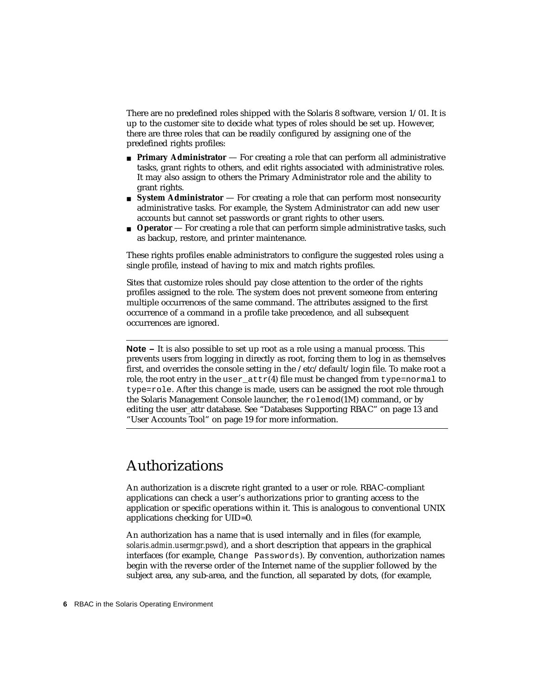There are no predefined roles shipped with the Solaris 8 software, version 1/01. It is up to the customer site to decide what types of roles should be set up. However, there are three roles that can be readily configured by assigning one of the predefined rights profiles:

- **Primary Administrator** For creating a role that can perform all administrative tasks, grant rights to others, and edit rights associated with administrative roles. It may also assign to others the Primary Administrator role and the ability to grant rights.
- **System Administrator** For creating a role that can perform most nonsecurity administrative tasks. For example, the System Administrator can add new user accounts but cannot set passwords or grant rights to other users.
- **Operator** For creating a role that can perform simple administrative tasks, such as backup, restore, and printer maintenance.

These rights profiles enable administrators to configure the suggested roles using a single profile, instead of having to mix and match rights profiles.

Sites that customize roles should pay close attention to the order of the rights profiles assigned to the role. The system does not prevent someone from entering multiple occurrences of the same command. The attributes assigned to the first occurrence of a command in a profile take precedence, and all subsequent occurrences are ignored.

**Note –** It is also possible to set up root as a role using a manual process. This prevents users from logging in directly as root, forcing them to log in as themselves first, and overrides the console setting in the /etc/default/login file. To make root a role, the root entry in the user  $\text{attr}(4)$  file must be changed from type=normal to type=role. After this change is made, users can be assigned the root role through the Solaris Management Console launcher, the rolemod(1M) command, or by editing the user\_attr database. See ["Databases Supporting RBAC" on page 13](#page-16-0) and ["User Accounts Tool" on page 19](#page-22-0) for more information.

### Authorizations

An authorization is a discrete right granted to a user or role. RBAC-compliant applications can check a user's authorizations prior to granting access to the application or specific operations within it. This is analogous to conventional UNIX applications checking for UID=0.

An authorization has a name that is used internally and in files (for example, *solaris.admin.usermgr.pswd*), and a short description that appears in the graphical interfaces (for example, Change Passwords). By convention, authorization names begin with the reverse order of the Internet name of the supplier followed by the subject area, any sub-area, and the function, all separated by dots, (for example,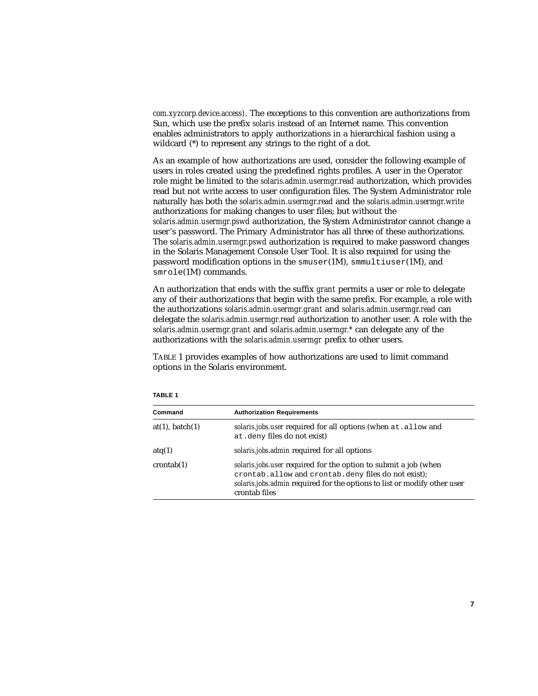*com.xyzcorp.device.access)*. The exceptions to this convention are authorizations from Sun, which use the prefix *solaris* instead of an Internet name. This convention enables administrators to apply authorizations in a hierarchical fashion using a wildcard (\*) to represent any strings to the right of a dot.

As an example of how authorizations are used, consider the following example of users in roles created using the predefined rights profiles. A user in the Operator role might be limited to the *solaris.admin.usermgr.read* authorization, which provides read but not write access to user configuration files. The System Administrator role naturally has both the *solaris.admin.usermgr.read* and the *solaris.admin.usermgr.write* authorizations for making changes to user files; but without the *solaris.admin.usermgr.pswd* authorization, the System Administrator cannot change a user's password. The Primary Administrator has all three of these authorizations. The *solaris.admin.usermgr.pswd* authorization is required to make password changes in the Solaris Management Console User Tool. It is also required for using the password modification options in the smuser(1M), smmultiuser(1M), and smrole(1M) commands.

An authorization that ends with the suffix *grant* permits a user or role to delegate any of their authorizations that begin with the same prefix. For example, a role with the authorizations *solaris.admin.usermgr.grant* and *solaris.admin.usermgr.read* can delegate the *solaris.admin.usermgr.read* authorization to another user. A role with the *solaris.admin.usermgr.grant* and *solaris.admin.usermgr.\** can delegate any of the authorizations with the *solaris.admin.usermgr* prefix to other users.

TABLE 1 provides examples of how authorizations are used to limit command options in the Solaris environment.

| Command               | <b>Authorization Requirements</b>                                                                                                                                                                                   |
|-----------------------|---------------------------------------------------------------------------------------------------------------------------------------------------------------------------------------------------------------------|
| $at(1)$ , batch $(1)$ | solaris.jobs.user required for all options (when at . allow and<br>at . deny files do not exist)                                                                                                                    |
| atq(1)                | solaris.jobs.admin required for all options                                                                                                                                                                         |
| crontab(1)            | solaris.jobs.user required for the option to submit a job (when<br>crontab.allow and crontab.deny files do not exist);<br>solaris.jobs.admin required for the options to list or modify other user<br>crontab files |

**TABLE 1**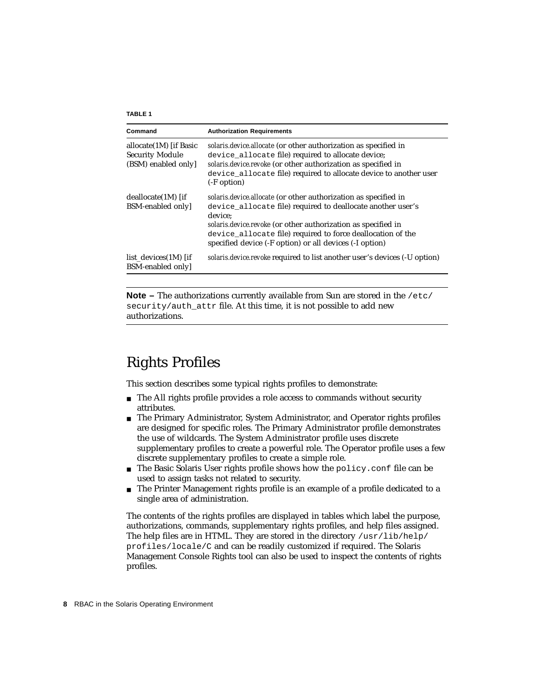| TABL |  |
|------|--|
|------|--|

| Command                                                                | <b>Authorization Requirements</b>                                                                                                                                                                                                                                                                                                    |
|------------------------------------------------------------------------|--------------------------------------------------------------------------------------------------------------------------------------------------------------------------------------------------------------------------------------------------------------------------------------------------------------------------------------|
| allocate(1M) [if Basic<br><b>Security Module</b><br>(BSM) enabled only | solaris.device.allocate (or other authorization as specified in<br>device_allocate file) required to allocate device;<br>solaris.device.revoke (or other authorization as specified in<br>device_allocate file) required to allocate device to another user<br>(-F option)                                                           |
| $dealloc(1M)$ [if]<br>BSM-enabled only                                 | solaris.device.allocate (or other authorization as specified in<br>device_allocate file) required to deallocate another user's<br>device:<br>solaris.device.revoke (or other authorization as specified in<br>device_allocate file) required to force deallocation of the<br>specified device (-F option) or all devices (-I option) |
| list devices $(1M)$ [if<br><b>BSM-enabled only</b>                     | solaris.device.revoke required to list another user's devices (-U option)                                                                                                                                                                                                                                                            |

**Note –** The authorizations currently available from Sun are stored in the /etc/ security/auth attr file. At this time, it is not possible to add new authorizations.

### Rights Profiles

This section describes some typical rights profiles to demonstrate:

- The All rights profile provides a role access to commands without security attributes.
- The Primary Administrator, System Administrator, and Operator rights profiles are designed for specific roles. The Primary Administrator profile demonstrates the use of wildcards. The System Administrator profile uses discrete supplementary profiles to create a powerful role. The Operator profile uses a few discrete supplementary profiles to create a simple role.
- The Basic Solaris User rights profile shows how the policy.conf file can be used to assign tasks not related to security.
- The Printer Management rights profile is an example of a profile dedicated to a single area of administration.

The contents of the rights profiles are displayed in tables which label the purpose, authorizations, commands, supplementary rights profiles, and help files assigned. The help files are in HTML. They are stored in the directory  $/usr/lib/help/$ profiles/locale/C and can be readily customized if required. The Solaris Management Console Rights tool can also be used to inspect the contents of rights profiles.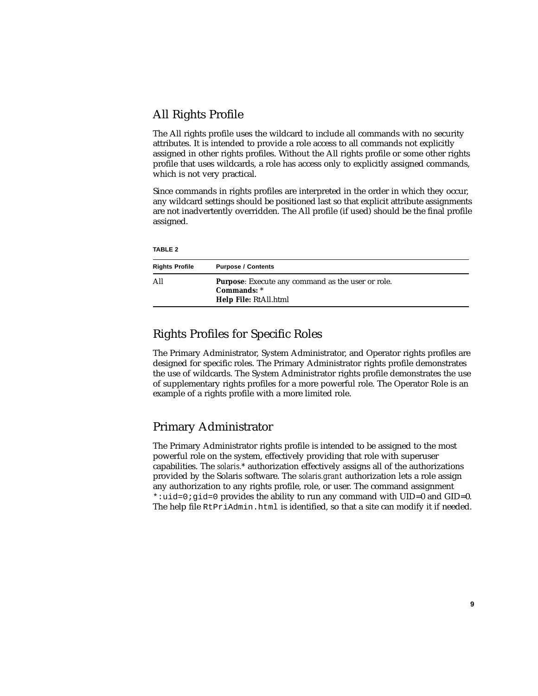### All Rights Profile

The All rights profile uses the wildcard to include all commands with no security attributes. It is intended to provide a role access to all commands not explicitly assigned in other rights profiles. Without the All rights profile or some other rights profile that uses wildcards, a role has access only to explicitly assigned commands, which is not very practical.

Since commands in rights profiles are interpreted in the order in which they occur, any wildcard settings should be positioned last so that explicit attribute assignments are not inadvertently overridden. The All profile (if used) should be the final profile assigned.

| <b>Rights Profile</b> | <b>Purpose / Contents</b>                                                                        |  |
|-----------------------|--------------------------------------------------------------------------------------------------|--|
| AII                   | <b>Purpose:</b> Execute any command as the user or role.<br>Commands: *<br>Help File: RtAll.html |  |

#### **TABLE 2**

#### Rights Profiles for Specific Roles

The Primary Administrator, System Administrator, and Operator rights profiles are designed for specific roles. The Primary Administrator rights profile demonstrates the use of wildcards. The System Administrator rights profile demonstrates the use of supplementary rights profiles for a more powerful role. The Operator Role is an example of a rights profile with a more limited role.

#### Primary Administrator

The Primary Administrator rights profile is intended to be assigned to the most powerful role on the system, effectively providing that role with superuser capabilities. The *solaris.\** authorization effectively assigns all of the authorizations provided by the Solaris software. The *solaris.grant* authorization lets a role assign any authorization to any rights profile, role, or user. The command assignment \*:uid=0;qid=0 provides the ability to run any command with  $UID=0$  and  $GID=0$ . The help file RtPriAdmin.html is identified, so that a site can modify it if needed.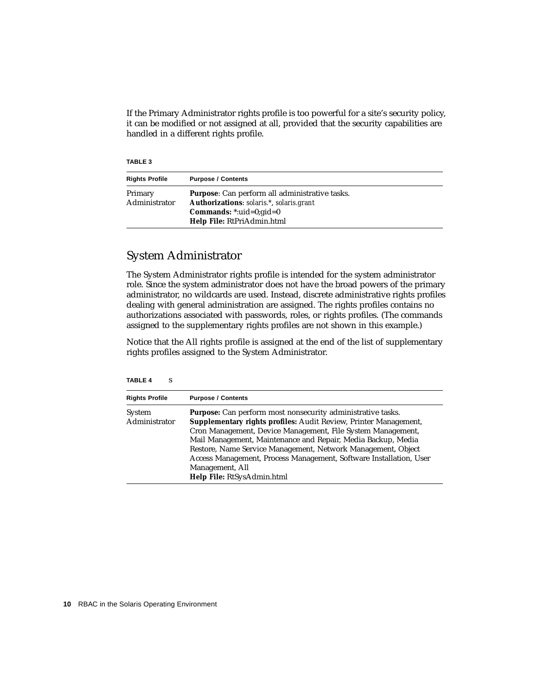If the Primary Administrator rights profile is too powerful for a site's security policy, it can be modified or not assigned at all, provided that the security capabilities are handled in a different rights profile.

| -<br>c |  |
|--------|--|
|--------|--|

| <b>Rights Profile</b>    | <b>Purpose / Contents</b>                                                                                                                                                |
|--------------------------|--------------------------------------------------------------------------------------------------------------------------------------------------------------------------|
| Primary<br>Administrator | <b>Purpose:</b> Can perform all administrative tasks.<br>Authorizations: solaris.*, solaris.grant<br><b>Commands:</b> $\cdot$ :uid=0;gid=0<br>Help File: RtPriAdmin.html |

#### System Administrator

The System Administrator rights profile is intended for the system administrator role. Since the system administrator does not have the broad powers of the primary administrator, no wildcards are used. Instead, discrete administrative rights profiles dealing with general administration are assigned. The rights profiles contains no authorizations associated with passwords, roles, or rights profiles. (The commands assigned to the supplementary rights profiles are not shown in this example.)

Notice that the All rights profile is assigned at the end of the list of supplementary rights profiles assigned to the System Administrator.

| <b>TABLE 4</b><br>s     |                                                                                                                                                                                                                                                                                                                                                                                                                                                              |
|-------------------------|--------------------------------------------------------------------------------------------------------------------------------------------------------------------------------------------------------------------------------------------------------------------------------------------------------------------------------------------------------------------------------------------------------------------------------------------------------------|
| <b>Rights Profile</b>   | <b>Purpose / Contents</b>                                                                                                                                                                                                                                                                                                                                                                                                                                    |
| System<br>Administrator | <b>Purpose:</b> Can perform most nonsecurity administrative tasks.<br>Supplementary rights profiles: Audit Review, Printer Management,<br>Cron Management, Device Management, File System Management,<br>Mail Management, Maintenance and Repair, Media Backup, Media<br>Restore, Name Service Management, Network Management, Object<br>Access Management, Process Management, Software Installation, User<br>Management, All<br>Help File: RtSysAdmin.html |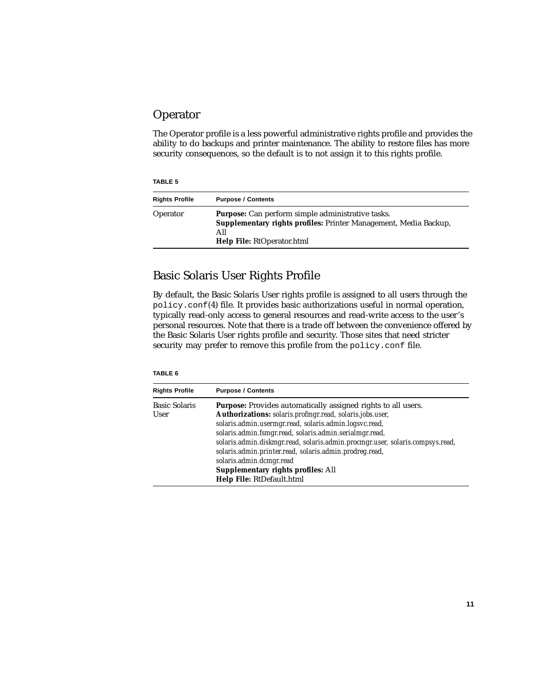#### Operator

The Operator profile is a less powerful administrative rights profile and provides the ability to do backups and printer maintenance. The ability to restore files has more security consequences, so the default is to not assign it to this rights profile.

#### **TABLE 5**

| <b>Rights Profile</b> | <b>Purpose / Contents</b>                                                                                                                                  |
|-----------------------|------------------------------------------------------------------------------------------------------------------------------------------------------------|
| Operator              | Purpose: Can perform simple administrative tasks.<br>Supplementary rights profiles: Printer Management, Media Backup,<br>All<br>Help File: RtOperator.html |

#### Basic Solaris User Rights Profile

By default, the Basic Solaris User rights profile is assigned to all users through the policy.conf(4) file. It provides basic authorizations useful in normal operation, typically read-only access to general resources and read-write access to the user's personal resources. Note that there is a trade off between the convenience offered by the Basic Solaris User rights profile and security. Those sites that need stricter security may prefer to remove this profile from the policy.conf file.

| <b>Rights Profile</b>        | <b>Purpose / Contents</b>                                                                                                                                                                                                                                                                                                                                                                                                                                                                        |
|------------------------------|--------------------------------------------------------------------------------------------------------------------------------------------------------------------------------------------------------------------------------------------------------------------------------------------------------------------------------------------------------------------------------------------------------------------------------------------------------------------------------------------------|
| <b>Basic Solaris</b><br>User | <b>Purpose:</b> Provides automatically assigned rights to all users.<br>Authorizations: solaris.profmgr.read, solaris.jobs.user,<br>solaris.admin.usermgr.read, solaris.admin.logsvc.read,<br>solaris.admin.fsmgr.read, solaris.admin.serialmgr.read,<br>solaris.admin.diskmgr.read, solaris.admin.procmgr.user, solaris.compsys.read,<br>solaris.admin.printer.read, solaris.admin.prodreg.read,<br>solaris.admin.dcmgr.read<br>Supplementary rights profiles: All<br>Help File: RtDefault.html |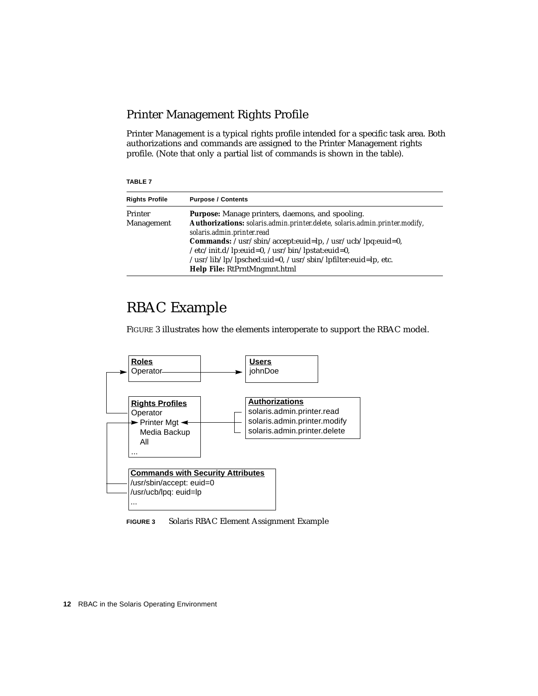### Printer Management Rights Profile

Printer Management is a typical rights profile intended for a specific task area. Both authorizations and commands are assigned to the Printer Management rights profile. (Note that only a partial list of commands is shown in the table).

#### **TABLE 7**

| <b>Rights Profile</b> | <b>Purpose / Contents</b>                                                                                                                                                                                                                                                                                              |
|-----------------------|------------------------------------------------------------------------------------------------------------------------------------------------------------------------------------------------------------------------------------------------------------------------------------------------------------------------|
| Printer               | <b>Purpose:</b> Manage printers, daemons, and spooling.                                                                                                                                                                                                                                                                |
| Management            | Authorizations: solaris.admin.printer.delete, solaris.admin.printer.modify,<br>solaris.admin.printer.read<br>Commands: /usr/sbin/accept:euid=lp, /usr/ucb/lpq:euid=0,<br>/etc/init.d/lp:euid=0, /usr/bin/lpstat:euid=0,<br>/usr/lib/lp/lpsched:uid=0, /usr/sbin/lpfilter:euid=lp, etc.<br>Help File: RtPrntMngmnt.html |

## RBAC Example

FIGURE 3 illustrates how the elements interoperate to support the RBAC model.



**FIGURE 3** Solaris RBAC Element Assignment Example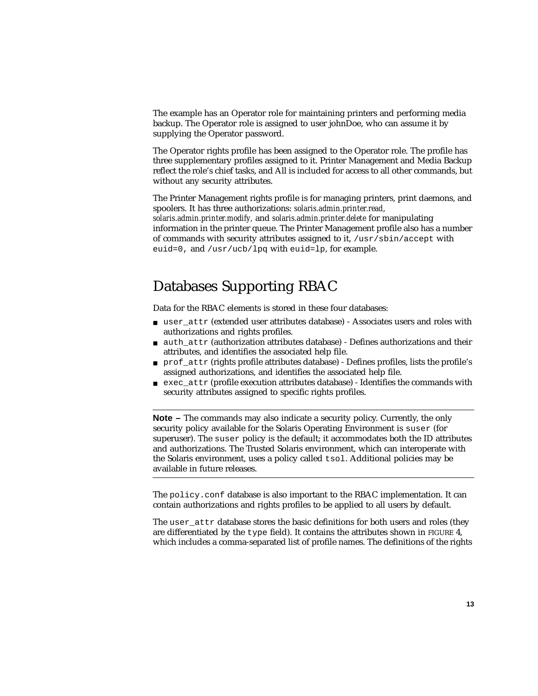The example has an Operator role for maintaining printers and performing media backup. The Operator role is assigned to user johnDoe, who can assume it by supplying the Operator password.

The Operator rights profile has been assigned to the Operator role. The profile has three supplementary profiles assigned to it. Printer Management and Media Backup reflect the role's chief tasks, and All is included for access to all other commands, but without any security attributes.

The Printer Management rights profile is for managing printers, print daemons, and spoolers. It has three authorizations: *solaris.admin.printer.read*, *solaris.admin.printer.modify,* and *solaris.admin.printer.delete* for manipulating information in the printer queue. The Printer Management profile also has a number of commands with security attributes assigned to it, /usr/sbin/accept with euid=0, and /usr/ucb/lpq with euid=lp, for example.

## <span id="page-16-0"></span>Databases Supporting RBAC

Data for the RBAC elements is stored in these four databases:

- user\_attr (extended user attributes database) Associates users and roles with authorizations and rights profiles.
- auth\_attr (authorization attributes database) Defines authorizations and their attributes, and identifies the associated help file.
- prof\_attr (rights profile attributes database) Defines profiles, lists the profile's assigned authorizations, and identifies the associated help file.
- $\blacksquare$  exec\_attr (profile execution attributes database) Identifies the commands with security attributes assigned to specific rights profiles.

**Note –** The commands may also indicate a security policy. Currently, the only security policy available for the Solaris Operating Environment is suser (for superuser). The suser policy is the default; it accommodates both the ID attributes and authorizations. The Trusted Solaris environment, which can interoperate with the Solaris environment, uses a policy called tsol. Additional policies may be available in future releases.

The policy.conf database is also important to the RBAC implementation. It can contain authorizations and rights profiles to be applied to all users by default.

The user\_attr database stores the basic definitions for both users and roles (they are differentiated by the type field). It contains the attributes shown in FIGURE 4, which includes a comma-separated list of profile names. The definitions of the rights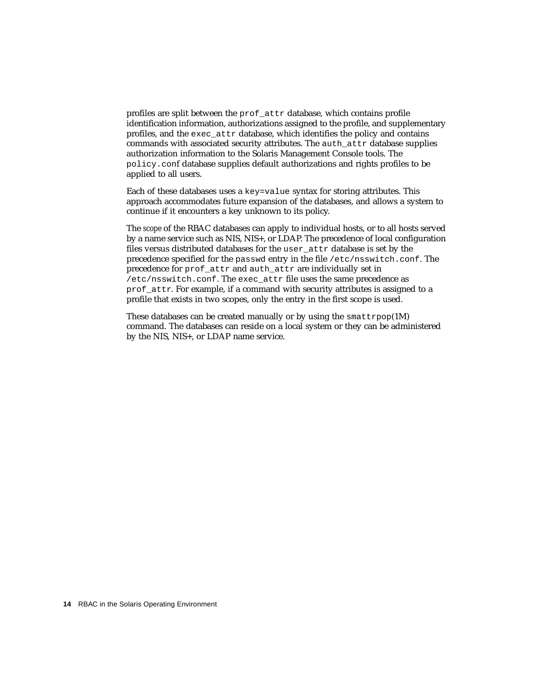profiles are split between the prof\_attr database, which contains profile identification information, authorizations assigned to the profile, and supplementary profiles, and the exec\_attr database, which identifies the policy and contains commands with associated security attributes. The auth\_attr database supplies authorization information to the Solaris Management Console tools. The policy.conf database supplies default authorizations and rights profiles to be applied to all users.

Each of these databases uses a key=value syntax for storing attributes. This approach accommodates future expansion of the databases, and allows a system to continue if it encounters a key unknown to its policy.

The *scope* of the RBAC databases can apply to individual hosts, or to all hosts served by a name service such as NIS, NIS+, or LDAP. The precedence of local configuration files versus distributed databases for the user\_attr database is set by the precedence specified for the passwd entry in the file /etc/nsswitch.conf. The precedence for prof attr and auth attr are individually set in /etc/nsswitch.conf. The exec\_attr file uses the same precedence as prof\_attr. For example, if a command with security attributes is assigned to a profile that exists in two scopes, only the entry in the first scope is used.

These databases can be created manually or by using the  $smattrop(1M)$ command. The databases can reside on a local system or they can be administered by the NIS, NIS+, or LDAP name service.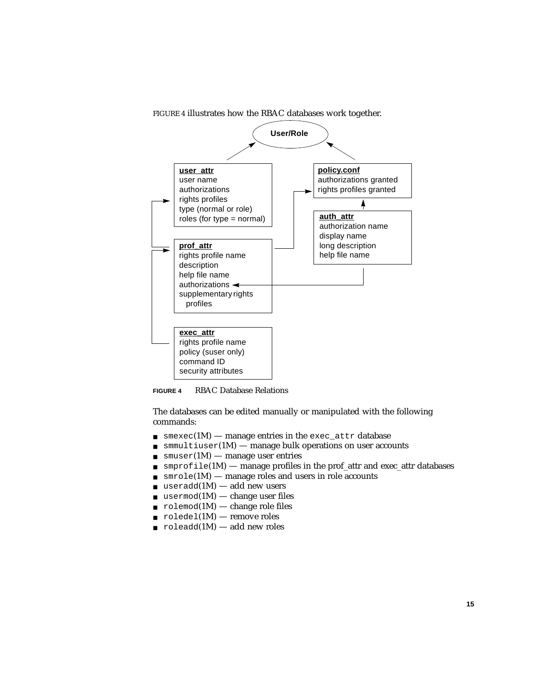[FIGURE 4](#page-18-0) illustrates how the RBAC databases work together.



<span id="page-18-0"></span>**FIGURE 4** RBAC Database Relations

The databases can be edited manually or manipulated with the following commands:

- $\blacksquare$  smexec(1M) manage entries in the exec attr database
- $\blacksquare$  smmultiuser(1M) manage bulk operations on user accounts
- $\blacksquare$  smuser(1M) manage user entries
- $\blacksquare$  smprofile(1M) manage profiles in the prof\_attr and exec\_attr databases
- $\blacksquare$  smrole(1M) manage roles and users in role accounts
- $\Box$  useradd $(1M)$  add new users
- $\Box$  usermod(1M) change user files
- $\blacksquare$  rolemod(1M) change role files
- $\Box$  roledel(1M) remove roles
- $\Box$  roleadd(1M) add new roles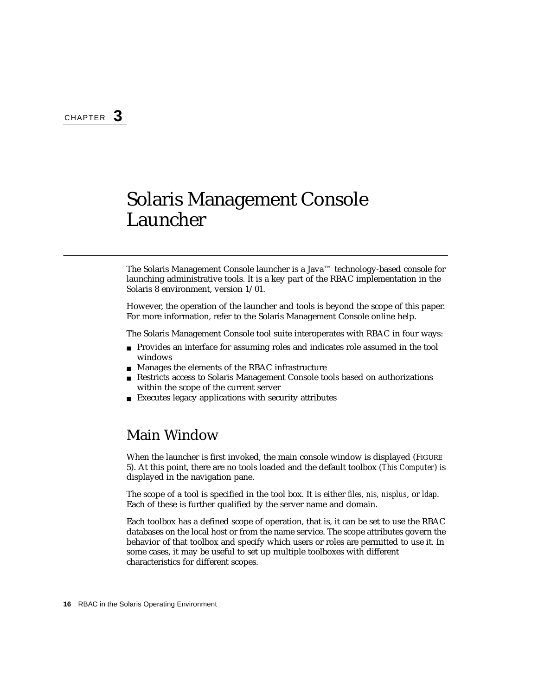# Solaris Management Console Launcher

The Solaris Management Console launcher is a Java™ technology-based console for launching administrative tools. It is a key part of the RBAC implementation in the Solaris 8 environment, version 1/01.

However, the operation of the launcher and tools is beyond the scope of this paper. For more information, refer to the Solaris Management Console online help.

The Solaris Management Console tool suite interoperates with RBAC in four ways:

- Provides an interface for assuming roles and indicates role assumed in the tool windows
- Manages the elements of the RBAC infrastructure
- Restricts access to Solaris Management Console tools based on authorizations within the scope of the current server
- Executes legacy applications with security attributes

### Main Window

When the launcher is first invoked, the main console window is displayed (FIGURE 5). At this point, there are no tools loaded and the default toolbox (*This Computer*) is displayed in the navigation pane.

The scope of a tool is specified in the tool box. It is either *files, nis, nisplus*, or *ldap*. Each of these is further qualified by the server name and domain.

Each toolbox has a defined scope of operation, that is, it can be set to use the RBAC databases on the local host or from the name service. The scope attributes govern the behavior of that toolbox and specify which users or roles are permitted to use it. In some cases, it may be useful to set up multiple toolboxes with different characteristics for different scopes.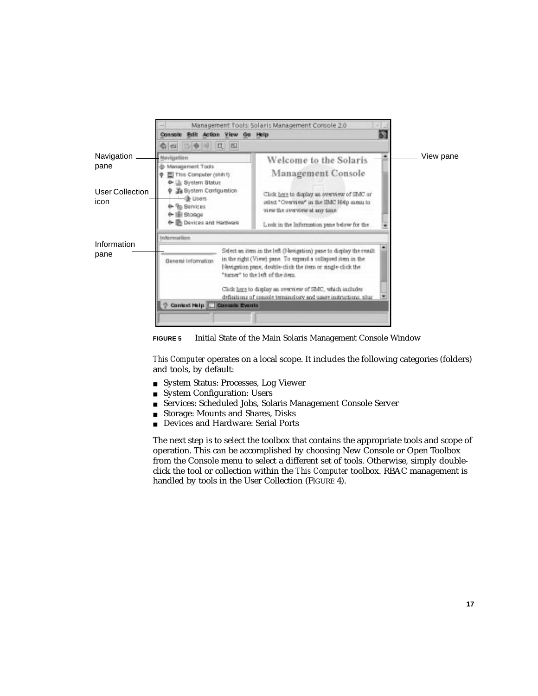

**FIGURE 5** Initial State of the Main Solaris Management Console Window

*This Computer* operates on a local scope. It includes the following categories (folders) and tools, by default:

- System Status: Processes, Log Viewer
- System Configuration: Users
- Services: Scheduled Jobs, Solaris Management Console Server
- Storage: Mounts and Shares, Disks
- Devices and Hardware: Serial Ports

The next step is to select the toolbox that contains the appropriate tools and scope of operation. This can be accomplished by choosing New Console or Open Toolbox from the Console menu to select a different set of tools. Otherwise, simply doubleclick the tool or collection within the *This Computer* toolbox. RBAC management is handled by tools in the User Collection (FIGURE 4).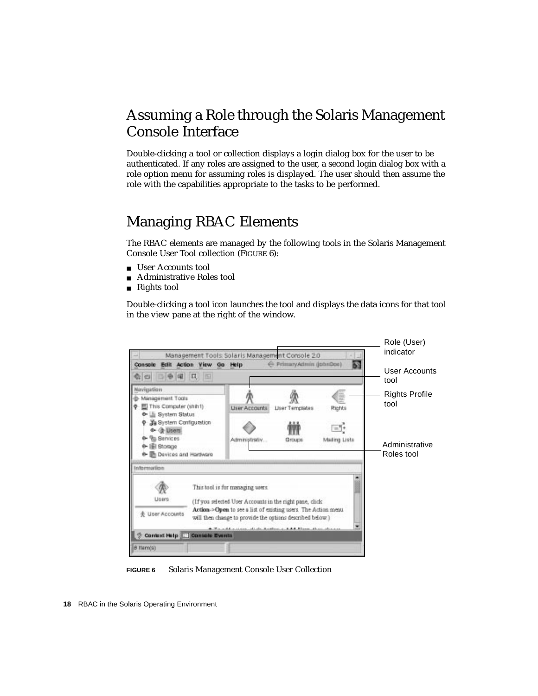# Assuming a Role through the Solaris Management Console Interface

Double-clicking a tool or collection displays a login dialog box for the user to be authenticated. If any roles are assigned to the user, a second login dialog box with a role option menu for assuming roles is displayed. The user should then assume the role with the capabilities appropriate to the tasks to be performed.

## Managing RBAC Elements

The RBAC elements are managed by the following tools in the Solaris Management Console User Tool collection (FIGURE 6):

- User Accounts tool
- Administrative Roles tool
- Rights tool

Double-clicking a tool icon launches the tool and displays the data icons for that tool in the view pane at the right of the window.



**FIGURE 6** Solaris Management Console User Collection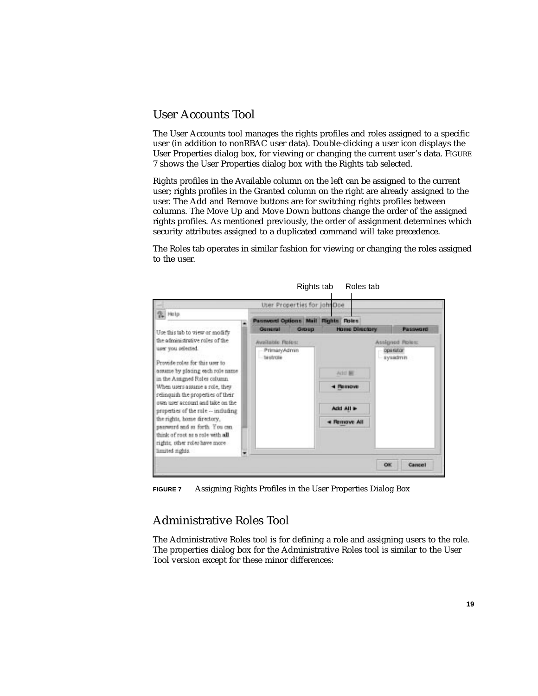### <span id="page-22-0"></span>User Accounts Tool

The User Accounts tool manages the rights profiles and roles assigned to a specific user (in addition to nonRBAC user data). Double-clicking a user icon displays the User Properties dialog box, for viewing or changing the current user's data. FIGURE 7 shows the User Properties dialog box with the Rights tab selected.

Rights profiles in the Available column on the left can be assigned to the current user; rights profiles in the Granted column on the right are already assigned to the user. The Add and Remove buttons are for switching rights profiles between columns. The Move Up and Move Down buttons change the order of the assigned rights profiles. As mentioned previously, the order of assignment determines which security attributes assigned to a duplicated command will take precedence.

The Roles tab operates in similar fashion for viewing or changing the roles assigned to the user.



**FIGURE 7** Assigning Rights Profiles in the User Properties Dialog Box

#### Administrative Roles Tool

The Administrative Roles tool is for defining a role and assigning users to the role. The properties dialog box for the Administrative Roles tool is similar to the User Tool version except for these minor differences: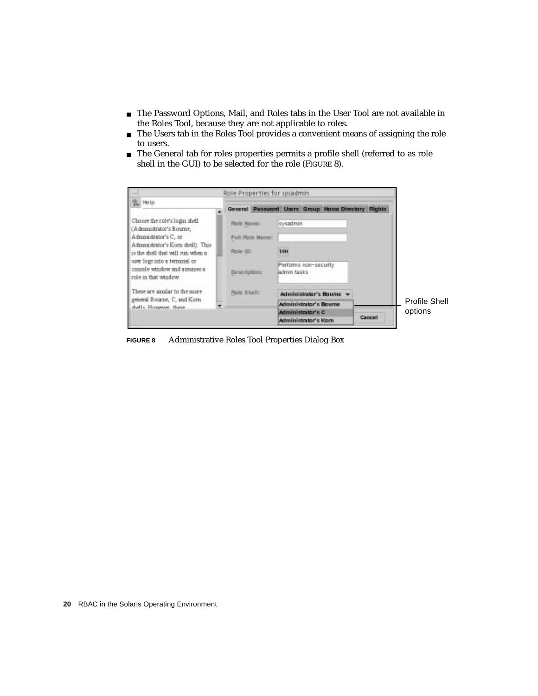- The Password Options, Mail, and Roles tabs in the User Tool are not available in the Roles Tool, because they are not applicable to roles.
- The Users tab in the Roles Tool provides a convenient means of assigning the role to users.
- The General tab for roles properties permits a profile shell (referred to as role shell in the GUI) to be selected for the role (FIGURE 8).

|                                                                                                                                       | Role Properties for sysadmin           |                                                                    |         |                          |
|---------------------------------------------------------------------------------------------------------------------------------------|----------------------------------------|--------------------------------------------------------------------|---------|--------------------------|
| 製 Help.                                                                                                                               |                                        | General Password Users Group Home Directory Rights                 |         |                          |
| Choose the role's login shell<br>(Administrator's Bourne,<br>Administrator's C, or                                                    | <b>Florie Name:</b><br>Full Role Name: | sysadmin                                                           |         |                          |
| Administrator's Korn shell). This<br>is the mell that will run when a<br>user logs into a terminal or<br>consale window and assumes a | Role ID:                               | 100<br>Performs non-security                                       |         |                          |
| role in that window.<br>These are similar to the more                                                                                 | Description:<br>Pole Shell:            | admin tasks<br>Administrator's Bourne                              |         |                          |
| general Buurne, C, and Korn.<br>shalls Housease thank                                                                                 |                                        | Administrator's Bourne<br>Administrator's C<br>Administrator's Rom | Cancell | Profile Shell<br>options |

**FIGURE 8** Administrative Roles Tool Properties Dialog Box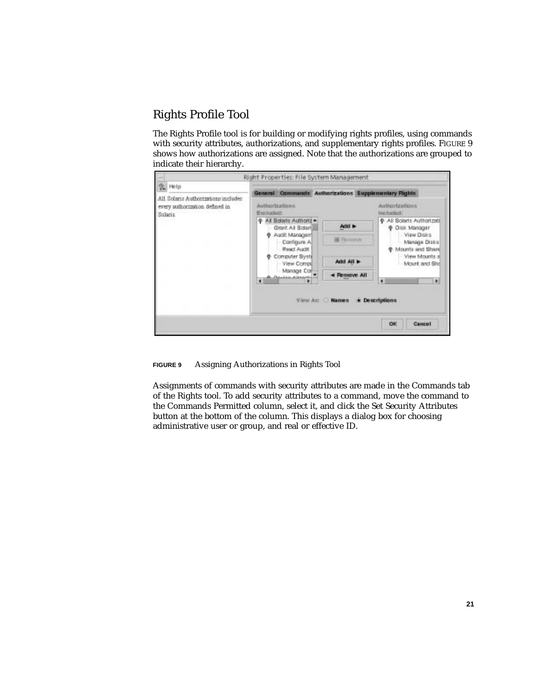### Rights Profile Tool

The Rights Profile tool is for building or modifying rights profiles, using commands with security attributes, authorizations, and supplementary rights profiles. FIGURE 9 shows how authorizations are assigned. Note that the authorizations are grouped to indicate their hierarchy.

|                                                                                                      | Right Properties: File System Management                                                                                                                                                                                                                            |                                                        |                                                                                                                                                                                   |
|------------------------------------------------------------------------------------------------------|---------------------------------------------------------------------------------------------------------------------------------------------------------------------------------------------------------------------------------------------------------------------|--------------------------------------------------------|-----------------------------------------------------------------------------------------------------------------------------------------------------------------------------------|
| <b>B.</b> Help<br>All. Solaris Authorizations includes<br>every authorization defined in<br>Solaris. | General Commands Authorizations Supplementary Rights<br>Authertzations<br>Excluded:<br>* All Bolaris Authoriz *<br>Grant All Bolari<br>Audit Managerf<br>Configure A<br>Read Audit<br>Computer Systi<br>- View Compil<br>- Manage Cor-<br><b>A. Doules Allowell</b> | Add ><br><b>W</b> Permony<br>Add All ><br>▲ Remove All | Authorizations<br><b>Hoc fuelked:</b><br>@ All Solarts Authorizati<br><b>@ Disk Manager</b><br>View Disks<br>Manage Disics<br>Mounts and Share<br>View Mounts at<br>Mount and Sha |
|                                                                                                      | $\blacksquare$                                                                                                                                                                                                                                                      | View Arc  Names                                        | $\bullet$<br>٠<br>· Descriptions<br>Cancel<br>OK                                                                                                                                  |



Assignments of commands with security attributes are made in the Commands tab of the Rights tool. To add security attributes to a command, move the command to the Commands Permitted column, select it, and click the Set Security Attributes button at the bottom of the column. This displays a dialog box for choosing administrative user or group, and real or effective ID.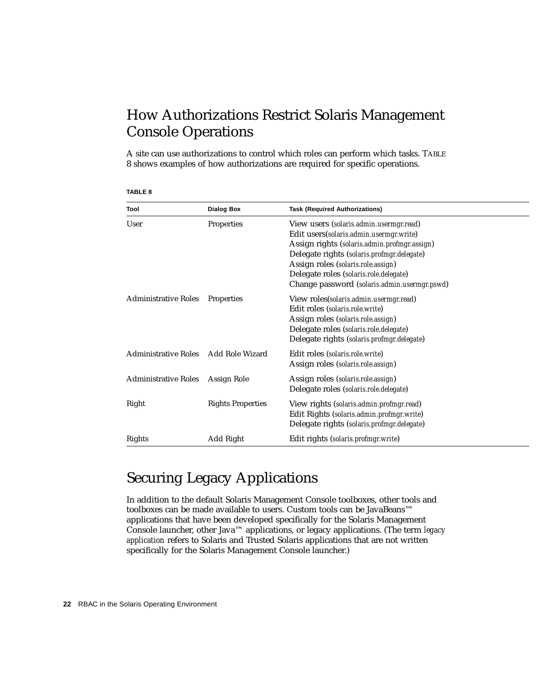# How Authorizations Restrict Solaris Management Console Operations

A site can use authorizations to control which roles can perform which tasks. TABLE 8 shows examples of how authorizations are required for specific operations.

| Tool                        | <b>Dialog Box</b>        | <b>Task (Required Authorizations)</b>                                                                                                                                                                                                                                                                             |
|-----------------------------|--------------------------|-------------------------------------------------------------------------------------------------------------------------------------------------------------------------------------------------------------------------------------------------------------------------------------------------------------------|
| User                        | Properties               | View users (solaris.admin.usermgr.read)<br>Edit users (solaris.admin.usermgr.write)<br>Assign rights (solaris.admin.profmgr.assign)<br>Delegate rights (solaris.profmgr.delegate)<br>Assign roles (solaris.role.assign)<br>Delegate roles (solaris.role.delegate)<br>Change password (solaris.admin.usermgr.pswd) |
| <b>Administrative Roles</b> | <b>Properties</b>        | View roles(solaris.admin.usermgr.read)<br>Edit roles (solaris.role.write)<br>Assign roles (solaris.role.assign)<br>Delegate roles (solaris.role.delegate)<br>Delegate rights (solaris.profmgr.delegate)                                                                                                           |
| <b>Administrative Roles</b> | Add Role Wizard          | Edit roles (solaris.role.write)<br>Assign roles (solaris.role.assign)                                                                                                                                                                                                                                             |
| <b>Administrative Roles</b> | Assign Role              | Assign roles (solaris.role.assign)<br>Delegate roles (solaris.role.delegate)                                                                                                                                                                                                                                      |
| Right                       | <b>Rights Properties</b> | View rights (solaris.admin.profmgr.read)<br>Edit Rights (solaris.admin.profmgr.write)<br>Delegate rights (solaris.profmgr.delegate)                                                                                                                                                                               |
| Rights                      | Add Right                | Edit rights (solaris.profmgr.write)                                                                                                                                                                                                                                                                               |

#### **TABLE 8**

### Securing Legacy Applications

In addition to the default Solaris Management Console toolboxes, other tools and toolboxes can be made available to users. Custom tools can be JavaBeans™ applications that have been developed specifically for the Solaris Management Console launcher, other Java™ applications, or legacy applications. (The term *legacy application* refers to Solaris and Trusted Solaris applications that are not written specifically for the Solaris Management Console launcher.)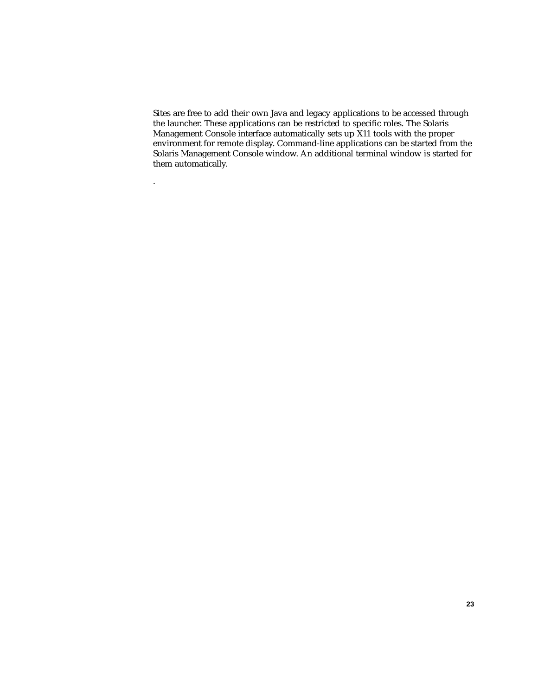Sites are free to add their own Java and legacy applications to be accessed through the launcher. These applications can be restricted to specific roles. The Solaris Management Console interface automatically sets up X11 tools with the proper environment for remote display. Command-line applications can be started from the Solaris Management Console window. An additional terminal window is started for them automatically.

.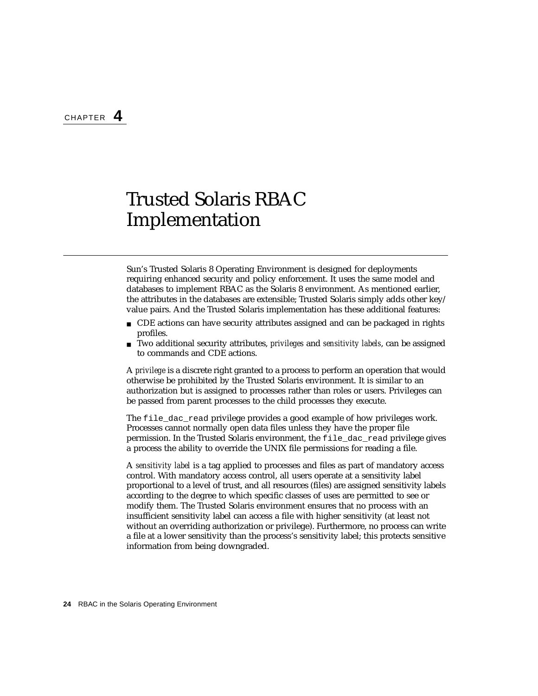#### CHAPTER **4**

# Trusted Solaris RBAC Implementation

Sun's Trusted Solaris 8 Operating Environment is designed for deployments requiring enhanced security and policy enforcement. It uses the same model and databases to implement RBAC as the Solaris 8 environment. As mentioned earlier, the attributes in the databases are extensible; Trusted Solaris simply adds other key/ value pairs. And the Trusted Solaris implementation has these additional features:

- CDE actions can have security attributes assigned and can be packaged in rights profiles.
- Two additional security attributes, *privileges* and *sensitivity labels*, can be assigned to commands and CDE actions.

A *privilege* is a discrete right granted to a process to perform an operation that would otherwise be prohibited by the Trusted Solaris environment. It is similar to an authorization but is assigned to processes rather than roles or users. Privileges can be passed from parent processes to the child processes they execute.

The file\_dac\_read privilege provides a good example of how privileges work. Processes cannot normally open data files unless they have the proper file permission. In the Trusted Solaris environment, the file\_dac\_read privilege gives a process the ability to override the UNIX file permissions for reading a file.

A *sensitivity label* is a tag applied to processes and files as part of mandatory access control. With mandatory access control, all users operate at a sensitivity label proportional to a level of trust, and all resources (files) are assigned sensitivity labels according to the degree to which specific classes of uses are permitted to see or modify them. The Trusted Solaris environment ensures that no process with an insufficient sensitivity label can access a file with higher sensitivity (at least not without an overriding authorization or privilege). Furthermore, no process can write a file at a lower sensitivity than the process's sensitivity label; this protects sensitive information from being downgraded.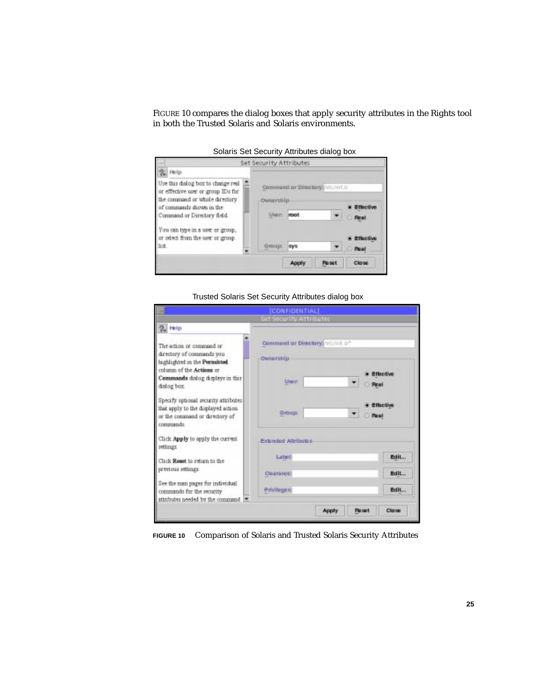FIGURE 10 compares the dialog boxes that apply security attributes in the Rights tool in both the Trusted Solaris and Solaris environments.

|                                                                                                                                                                       | Set Security Attributes |     |                                    |                                        |
|-----------------------------------------------------------------------------------------------------------------------------------------------------------------------|-------------------------|-----|------------------------------------|----------------------------------------|
| o Help                                                                                                                                                                |                         |     |                                    |                                        |
| Use this dialog box to change real<br>or effective user or group IDs for<br>the command or whole directory<br>of commands shown in the<br>Command or Directory field. | Ownership<br>User:      |     | Command or Directory, atolecial of | <b>finctive</b><br><b>Real</b>         |
| You can type in a user or group,<br>or select from the user or group.<br>list.                                                                                        | Group:                  | sys |                                    | <b><i><u>Philodive</u></i></b><br>Peal |
|                                                                                                                                                                       |                         |     |                                    | Close                                  |

Solaris Set Security Attributes dialog box



|                                                                                                                              | <b>CONFIDENTIAL!</b><br>et Socurity Attributes |                                   |
|------------------------------------------------------------------------------------------------------------------------------|------------------------------------------------|-----------------------------------|
| 2. Help<br>The action or commond or<br>directory of commands you<br>highlighted in the Pormitted<br>column of the Actions or | Command or Directory: Honda dir<br>Ownership   |                                   |
| Commands delog digitys in this<br>dislog box.                                                                                | Uter:                                          | <b>Effective</b><br>Real          |
| Specify optional security attributes<br>that apply to the displayed action<br>or the command or directory of<br>commands.    | Oroup:                                         | <b>Effective</b><br><b>Real</b>   |
| Click Apply to apply the current<br>settings.                                                                                | <b>Extended Attributes</b>                     |                                   |
| Click Reset to return to the                                                                                                 | Labelli                                        | Edit                              |
| presious settings.                                                                                                           | Clearance:                                     | Edit                              |
| See the man pages for individual<br>commands for the security<br>attributes needed by the commond                            | Privileges:                                    | Edit                              |
|                                                                                                                              |                                                | Clique<br><b>Please!</b><br>Apply |

**FIGURE 10** Comparison of Solaris and Trusted Solaris Security Attributes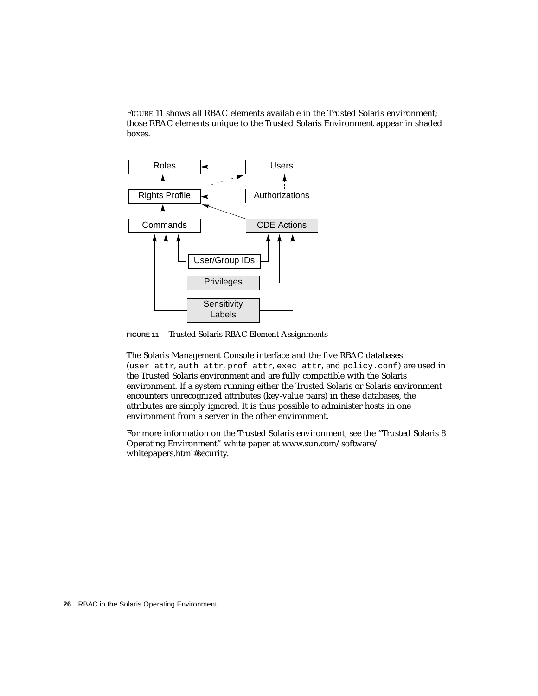FIGURE 11 shows all RBAC elements available in the Trusted Solaris environment; those RBAC elements unique to the Trusted Solaris Environment appear in shaded boxes.



**FIGURE 11** Trusted Solaris RBAC Element Assignments

The Solaris Management Console interface and the five RBAC databases (user\_attr, auth\_attr, prof\_attr, exec\_attr, and policy.conf) are used in the Trusted Solaris environment and are fully compatible with the Solaris environment. If a system running either the Trusted Solaris or Solaris environment encounters unrecognized attributes (key-value pairs) in these databases, the attributes are simply ignored. It is thus possible to administer hosts in one environment from a server in the other environment.

For more information on the Trusted Solaris environment, see the "Trusted Solaris 8 Operating Environment" white paper at www.sun.com/software/ whitepapers.html#security.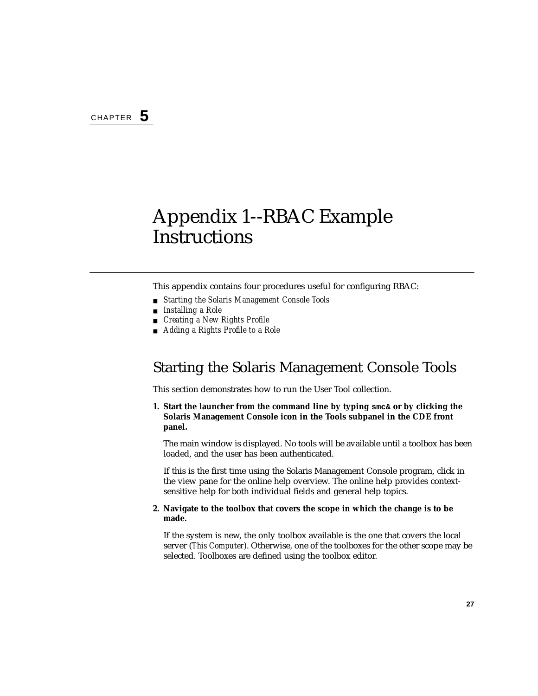# Appendix 1--RBAC Example **Instructions**

This appendix contains four procedures useful for configuring RBAC:

- *[Starting the Solaris Management Console Tools](#page-30-0)*
- *[Installing a Role](#page-31-0)*
- *[Creating a New Rights Profile](#page-33-0)*
- *[Adding a Rights Profile to a Role](#page-35-0)*

### <span id="page-30-0"></span>Starting the Solaris Management Console Tools

This section demonstrates how to run the User Tool collection.

**1. Start the launcher from the command line by typing smc& or by clicking the Solaris Management Console icon in the Tools subpanel in the CDE front panel.**

The main window is displayed. No tools will be available until a toolbox has been loaded, and the user has been authenticated.

If this is the first time using the Solaris Management Console program, click in the view pane for the online help overview. The online help provides contextsensitive help for both individual fields and general help topics.

#### **2. Navigate to the toolbox that covers the scope in which the change is to be made.**

If the system is new, the only toolbox available is the one that covers the local server (*This Computer*). Otherwise, one of the toolboxes for the other scope may be selected. Toolboxes are defined using the toolbox editor.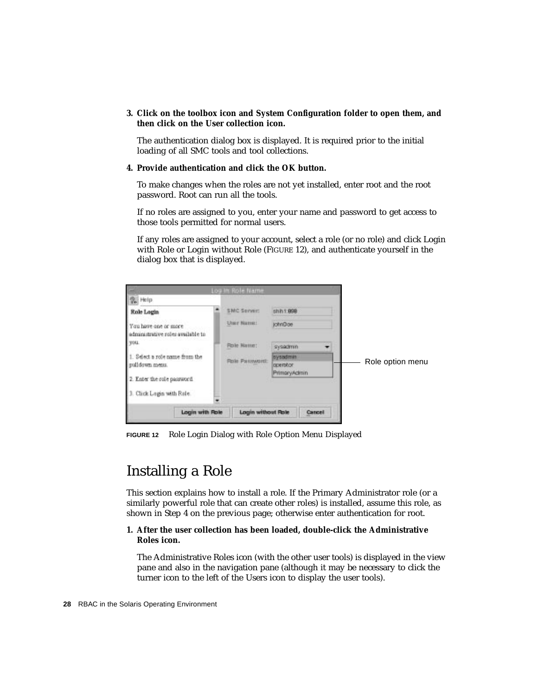#### **3. Click on the toolbox icon and System Configuration folder to open them, and then click on the User collection icon.**

The authentication dialog box is displayed. It is required prior to the initial loading of all SMC tools and tool collections.

#### **4. Provide authentication and click the OK button.**

To make changes when the roles are not yet installed, enter root and the root password. Root can run all the tools.

If no roles are assigned to you, enter your name and password to get access to those tools permitted for normal users.

If any roles are assigned to your account, select a role (or no role) and click Login with Role or Login without Role (FIGURE 12), and authenticate yourself in the dialog box that is displayed.

|                                   |   | Log In: Role Name         |                          |                  |
|-----------------------------------|---|---------------------------|--------------------------|------------------|
| Help.                             |   |                           |                          |                  |
| Role Login                        |   | SMC Servin:               | shih 1:898               |                  |
| You have one or more              |   | User Name:                | johnDoe                  |                  |
| administrative roles available to |   |                           |                          |                  |
| you.                              |   | Role Warner               | sysadmin                 |                  |
| 1. Select a role name from the    |   | <b>Role Passworth</b>     | sysadmin                 | Role option menu |
| pulldown menu.                    |   |                           | operator<br>PrimaryAdmin |                  |
| 2. Enter the role password.       |   |                           |                          |                  |
| Click Login with Role.            |   |                           |                          |                  |
|                                   | ٠ |                           |                          |                  |
| Login with Role                   |   | <b>Login without Role</b> | Cancel                   |                  |

**FIGURE 12** Role Login Dialog with Role Option Menu Displayed

# <span id="page-31-0"></span>Installing a Role

This section explains how to install a role. If the Primary Administrator role (or a similarly powerful role that can create other roles) is installed, assume this role, as shown in Step 4 on the previous page; otherwise enter authentication for root.

**1. After the user collection has been loaded, double-click the Administrative Roles icon.**

The Administrative Roles icon (with the other user tools) is displayed in the view pane and also in the navigation pane (although it may be necessary to click the turner icon to the left of the Users icon to display the user tools).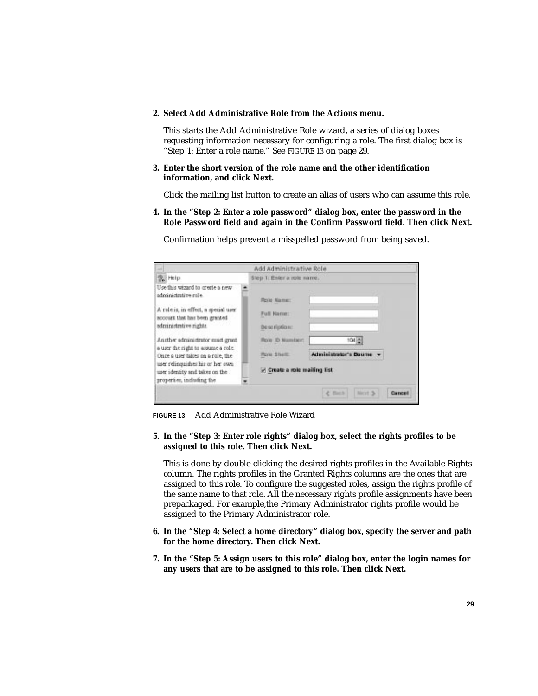**2. Select Add Administrative Role from the Actions menu.**

This starts the Add Administrative Role wizard, a series of dialog boxes requesting information necessary for configuring a role. The first dialog box is "Step 1: Enter a role name." See FIGURE 13 [on page 29.](#page-32-0)

**3. Enter the short version of the role name and the other identification information, and click Next.**

Click the mailing list button to create an alias of users who can assume this role.

**4. In the "Step 2: Enter a role password" dialog box, enter the password in the Role Password field and again in the Confirm Password field. Then click Next.**

Confirmation helps prevent a misspelled password from being saved.

|                                                                                                                                                                                                                                                                                                                                                                             | Add Administrative Role                                                                                                                                     |
|-----------------------------------------------------------------------------------------------------------------------------------------------------------------------------------------------------------------------------------------------------------------------------------------------------------------------------------------------------------------------------|-------------------------------------------------------------------------------------------------------------------------------------------------------------|
| U. Help.                                                                                                                                                                                                                                                                                                                                                                    | Step 1: Enter a role name.                                                                                                                                  |
| Use this wizard to create a new<br>administrative role.<br>A role is, in effect, a special user<br>account that has been granted<br>administrative nights.<br>Another administrator must grant<br>a user the sight to assume a role.<br>Once a user takes on a rule, the<br>user relinquishes his or her own<br>user identity and takes on the<br>properties, including the | <b>Paste Name:</b><br><b>Full Rane:</b><br>Description:<br>104回<br>Role ID Number:<br>Administrator's Bourne<br>Pole Shell:<br>- Create a role mailing list |
|                                                                                                                                                                                                                                                                                                                                                                             | <b>C</b> Bank<br>Norst 3-<br>Cancel                                                                                                                         |

<span id="page-32-0"></span>**FIGURE 13** Add Administrative Role Wizard

**5. In the "Step 3: Enter role rights" dialog box, select the rights profiles to be assigned to this role. Then click Next.**

This is done by double-clicking the desired rights profiles in the Available Rights column. The rights profiles in the Granted Rights columns are the ones that are assigned to this role. To configure the suggested roles, assign the rights profile of the same name to that role. All the necessary rights profile assignments have been prepackaged. For example,the Primary Administrator rights profile would be assigned to the Primary Administrator role.

- **6. In the "Step 4: Select a home directory" dialog box, specify the server and path for the home directory. Then click Next.**
- **7. In the "Step 5: Assign users to this role" dialog box, enter the login names for any users that are to be assigned to this role. Then click Next.**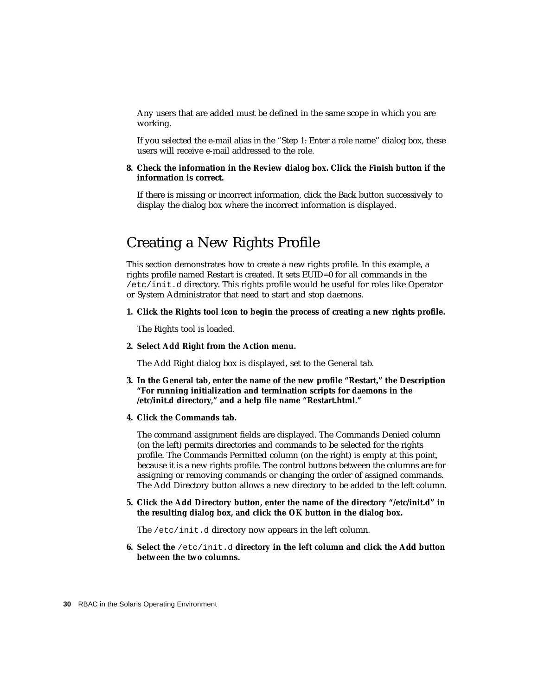Any users that are added must be defined in the same scope in which you are working.

If you selected the e-mail alias in the "Step 1: Enter a role name" dialog box, these users will receive e-mail addressed to the role.

**8. Check the information in the Review dialog box. Click the Finish button if the information is correct.**

If there is missing or incorrect information, click the Back button successively to display the dialog box where the incorrect information is displayed.

### <span id="page-33-0"></span>Creating a New Rights Profile

This section demonstrates how to create a new rights profile. In this example, a rights profile named Restart is created. It sets EUID=0 for all commands in the /etc/init.d directory. This rights profile would be useful for roles like Operator or System Administrator that need to start and stop daemons.

**1. Click the Rights tool icon to begin the process of creating a new rights profile.**

The Rights tool is loaded.

**2. Select Add Right from the Action menu.**

The Add Right dialog box is displayed, set to the General tab.

- **3. In the General tab, enter the name of the new profile "Restart," the Description "For running initialization and termination scripts for daemons in the /etc/init.d directory," and a help file name "Restart.html."**
- **4. Click the Commands tab.**

The command assignment fields are displayed. The Commands Denied column (on the left) permits directories and commands to be selected for the rights profile. The Commands Permitted column (on the right) is empty at this point, because it is a new rights profile. The control buttons between the columns are for assigning or removing commands or changing the order of assigned commands. The Add Directory button allows a new directory to be added to the left column.

**5. Click the Add Directory button, enter the name of the directory "/etc/init.d" in the resulting dialog box, and click the OK button in the dialog box.**

The /etc/init.d directory now appears in the left column.

**6. Select the** /etc/init.d **directory in the left column and click the Add button between the two columns.**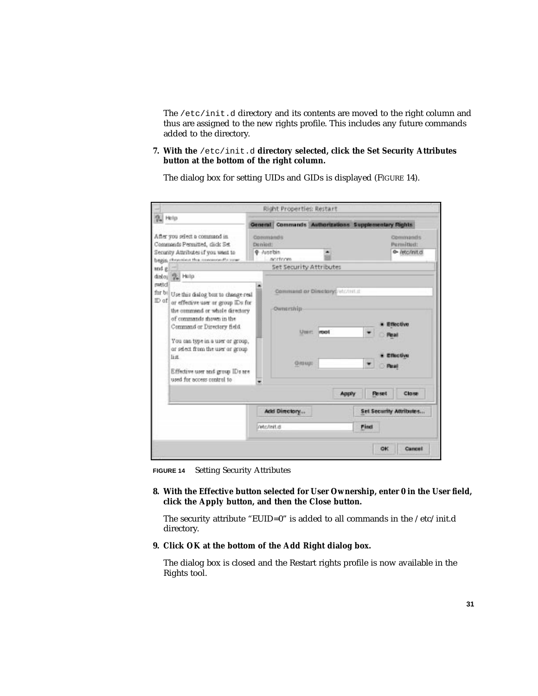The /etc/init.d directory and its contents are moved to the right column and thus are assigned to the new rights profile. This includes any future commands added to the directory.

**7. With the** /etc/init.d **directory selected, click the Set Security Attributes button at the bottom of the right column.**

The dialog box for setting UIDs and GIDs is displayed (FIGURE 14).

|                                                                                                                                                                                                                                                                                                                                                      | Right Properties: Restart                                           |                                                                                                          |
|------------------------------------------------------------------------------------------------------------------------------------------------------------------------------------------------------------------------------------------------------------------------------------------------------------------------------------------------------|---------------------------------------------------------------------|----------------------------------------------------------------------------------------------------------|
| 12 Help<br>After you select a command in<br>Comments Pennitted, diick Set<br>Security Attributes if you want to<br>begin choosing the concrete the com-                                                                                                                                                                                              | Commands<br>Deniest:<br><b>⊕</b> /usr/bin<br>acctrom                | General Commands Authorizations Supplementary Rights<br><b>Commands</b><br>Permitted:<br>e- /etc/init.d. |
| and gli                                                                                                                                                                                                                                                                                                                                              | Set Security Attributes                                             |                                                                                                          |
| match<br>for bill Use this dislog box to change real<br>$D$ of<br>or effective user or group IDs for<br>the command or whole directory<br>of commands shown in the<br>Command or Directory field.<br>You can type in a user or group,<br>or select from the user or group<br>list.<br>Effective user and group IDs are<br>used for access control to | Command or Directory: vectors of<br>Ownership<br>User: root<br>Omum | <b>Effective</b><br>Effective                                                                            |
|                                                                                                                                                                                                                                                                                                                                                      |                                                                     | Close<br>Apply<br>Reset                                                                                  |
|                                                                                                                                                                                                                                                                                                                                                      | Add Directory                                                       | Set Security Attributes                                                                                  |
|                                                                                                                                                                                                                                                                                                                                                      | Netc/Init.d                                                         | <b>Find</b>                                                                                              |

**FIGURE 14** Setting Security Attributes

**8. With the Effective button selected for User Ownership, enter 0 in the User field, click the Apply button, and then the Close button.**

The security attribute "EUID=0" is added to all commands in the /etc/init.d directory.

**9. Click OK at the bottom of the Add Right dialog box.**

The dialog box is closed and the Restart rights profile is now available in the Rights tool.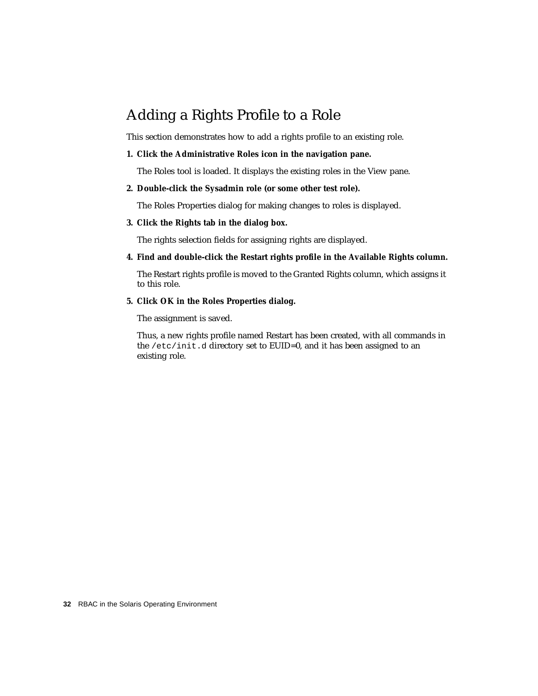## <span id="page-35-0"></span>Adding a Rights Profile to a Role

This section demonstrates how to add a rights profile to an existing role.

#### **1. Click the Administrative Roles icon in the navigation pane.**

The Roles tool is loaded. It displays the existing roles in the View pane.

#### **2. Double-click the Sysadmin role (or some other test role).**

The Roles Properties dialog for making changes to roles is displayed.

#### **3. Click the Rights tab in the dialog box.**

The rights selection fields for assigning rights are displayed.

#### **4. Find and double-click the Restart rights profile in the Available Rights column.**

The Restart rights profile is moved to the Granted Rights column, which assigns it to this role.

#### **5. Click OK in the Roles Properties dialog.**

The assignment is saved.

Thus, a new rights profile named Restart has been created, with all commands in the  $/etc/init.d$  directory set to EUID=0, and it has been assigned to an existing role.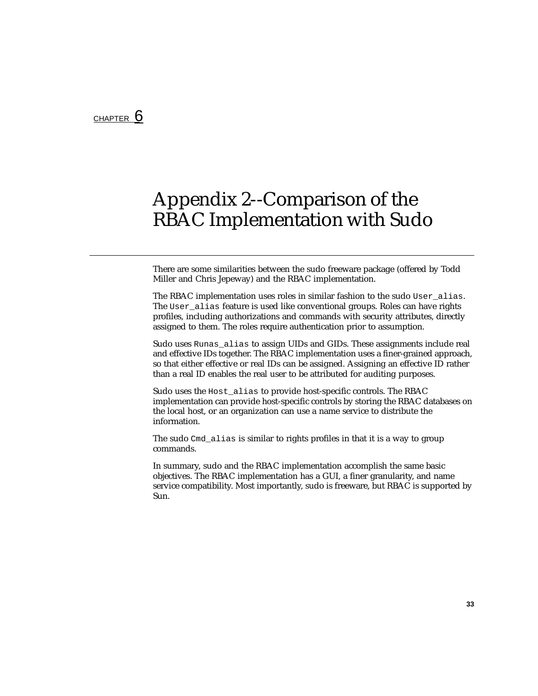CHAPTER  $6$ 

# <span id="page-36-0"></span>Appendix 2--Comparison of the RBAC Implementation with Sudo

There are some similarities between the sudo freeware package (offered by Todd Miller and Chris Jepeway) and the RBAC implementation.

The RBAC implementation uses roles in similar fashion to the sudo User\_alias. The User\_alias feature is used like conventional groups. Roles can have rights profiles, including authorizations and commands with security attributes, directly assigned to them. The roles require authentication prior to assumption.

Sudo uses Runas\_alias to assign UIDs and GIDs. These assignments include real and effective IDs together. The RBAC implementation uses a finer-grained approach, so that either effective or real IDs can be assigned. Assigning an effective ID rather than a real ID enables the real user to be attributed for auditing purposes.

Sudo uses the Host\_alias to provide host-specific controls. The RBAC implementation can provide host-specific controls by storing the RBAC databases on the local host, or an organization can use a name service to distribute the information.

The sudo Cmd\_alias is similar to rights profiles in that it is a way to group commands.

In summary, sudo and the RBAC implementation accomplish the same basic objectives. The RBAC implementation has a GUI, a finer granularity, and name service compatibility. Most importantly, sudo is freeware, but RBAC is supported by Sun.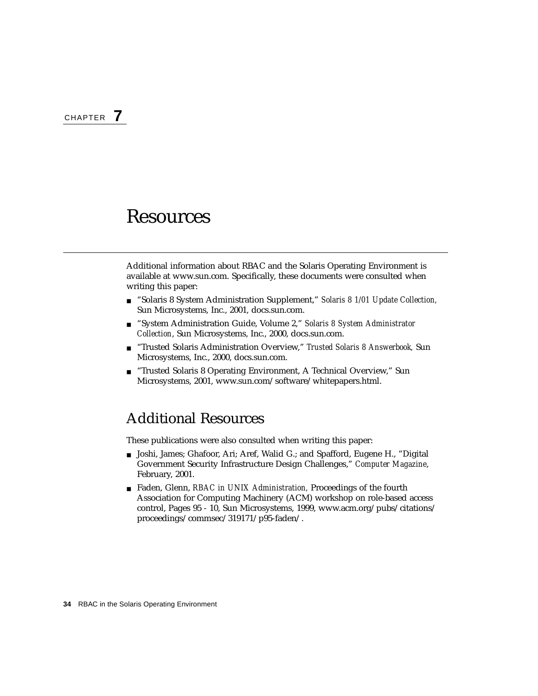### CHAPTER **7**

# Resources

Additional information about RBAC and the Solaris Operating Environment is available at www.sun.com. Specifically, these documents were consulted when writing this paper:

- "Solaris 8 System Administration Supplement," *Solaris 8 1/01 Update Collection,* Sun Microsystems, Inc., 2001, docs.sun.com.
- "System Administration Guide, Volume 2," *Solaris 8 System Administrator Collection*, Sun Microsystems, Inc., 2000, docs.sun.com.
- "Trusted Solaris Administration Overview," *Trusted Solaris 8 Answerbook,* Sun Microsystems, Inc., 2000, docs.sun.com.
- "Trusted Solaris 8 Operating Environment, A Technical Overview," Sun Microsystems, 2001, www.sun.com/software/whitepapers.html.

## Additional Resources

These publications were also consulted when writing this paper:

- Joshi, James; Ghafoor, Ari; Aref, Walid G.; and Spafford, Eugene H., "Digital Government Security Infrastructure Design Challenges," *Computer Magazine*, February, 2001.
- Faden, Glenn, *RBAC in UNIX Administration*, Proceedings of the fourth Association for Computing Machinery (ACM) workshop on role-based access control, Pages 95 - 10, Sun Microsystems, 1999, www.acm.org/pubs/citations/ proceedings/commsec/319171/p95-faden/.